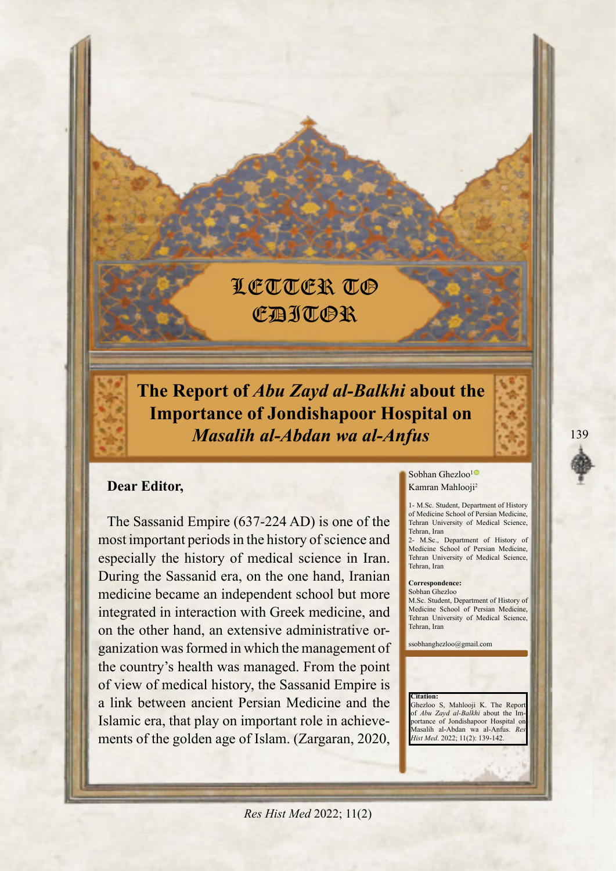# LETTER TO **CAJTOR**

*The Report of Abu Zayd al-Balkhi about the* **Importance of Jondishapoor Hospital on** *Anfus-al wa Abdan-al Masalih*

## **Dear Editor,**

The Sassanid Empire  $(637-224$  AD) is one of the most important periods in the history of science and especially the history of medical science in Iran. During the Sassanid era, on the one hand, Iranian medicine became an independent school but more integrated in interaction with Greek medicine, and ganization was formed in which the management of on the other hand, an extensive administrative orthe country's health was managed. From the point of view of medical history, the Sassanid Empire is a link between ancient Persian Medicine and the Islamic era, that play on important role in achieve-<br>ments of the golden age of Islam. (Zargaran, 2020,

#### Sobhan Ghezloo<sup>[1](https://orcid.org/0000-0001-9327-2192)</sup><sup>®</sup> Kamran Mahlooji<sup>2</sup>

1- M.Sc. Student, Department of History of Medicine School of Persian Medicine, Tehran University of Medical Science, Tehran, Iran

2- M.Sc., Department of History of Medicine School of Persian Medicine, Tehran University of Medical Science, Tehran Iran

#### **Correspondence:**

Sobhan Ghezloo M.Sc. Student, Department of History of Medicine School of Persian Medicine, Tehran University of Medical Science, Tehran, Iran

ssobhanghezloo@gmail.com

**Citation:** Ghezloo S, Mahlooji K. The Repo of *Abu Zayd al-Balkhi* about the Im-<br>portance of Jondishapoor Hospital on Masalih al-Abdan wa al-Anfus. Re Hist Med. 2022; 11(2): 139-142.

**Res Hist Med 2022; 11(2)**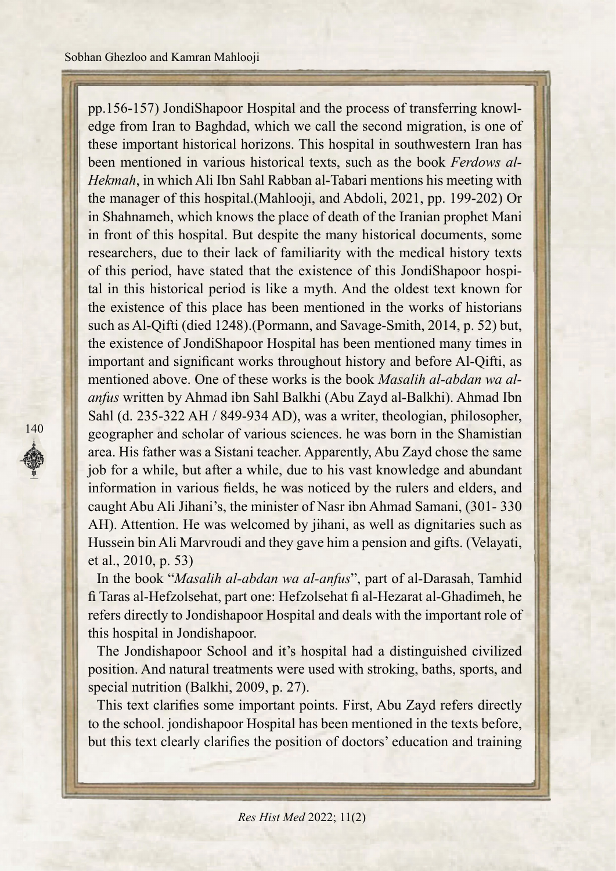edge from Iran to Baghdad, which we call the second migration, is one of pp.156-157) JondiShapoor Hospital and the process of transferring knowlthese important historical horizons. This hospital in southwestern Iran has *Hekmah*, in which Ali Ibn Sahl Rabban al-Tabari mentions his meeting with *been mentioned in various historical texts, such as the book Ferdows al*the manager of this hospital. (Mahlooji, and Abdoli, 2021, pp. 199-202) Or in Shahnameh, which knows the place of death of the Iranian prophet Mani in front of this hospital. But despite the many historical documents, some researchers, due to their lack of familiarity with the medical history texts tal in this historical period is like a myth. And the oldest text known for of this period, have stated that the existence of this JondiShapoor hospithe existence of this place has been mentioned in the works of historians such as Al-Qifti (died 1248). (Pormann, and Savage-Smith, 2014, p. 52) but, the existence of JondiShapoor Hospital has been mentioned many times in important and significant works throughout history and before Al-Qifti, as anfus written by Ahmad ibn Sahl Balkhi (Abu Zayd al-Balkhi). Ahmad Ibn mentioned above. One of these works is the book *Masalih al-abdan wa al-*Sahl (d. 235-322 AH / 849-934 AD), was a writer, theologian, philosopher, geographer and scholar of various sciences. he was born in the Shamistian area. His father was a Sistani teacher. Apparently, Abu Zayd chose the same job for a while, but after a while, due to his vast knowledge and abundant information in various fields, he was noticed by the rulers and elders, and caught Abu Ali Jihani's, the minister of Nasr ibn Ahmad Samani, (301-330) AH). Attention. He was welcomed by jihani, as well as dignitaries such as Hussein bin Ali Marvroudi and they gave him a pension and gifts. (Velayati, et al.,  $2010$ , p. 53)

In the book "*Masalih al-abdan wa al-anfus*", part of al-Darasah, Tamhid fi Taras al-Hefzolsehat, part one: Hefzolsehat fi al-Hezarat al-Ghadimeh, he refers directly to Jondishapoor Hospital and deals with the important role of this hospital in Jondishapoor.

The Jondishapoor School and it's hospital had a distinguished civilized position. And natural treatments were used with stroking, baths, sports, and special nutrition (Balkhi, 2009, p. 27).

This text clarifies some important points. First, Abu Zayd refers directly to the school. jondishapoor Hospital has been mentioned in the texts before, but this text clearly clarifies the position of doctors' education and training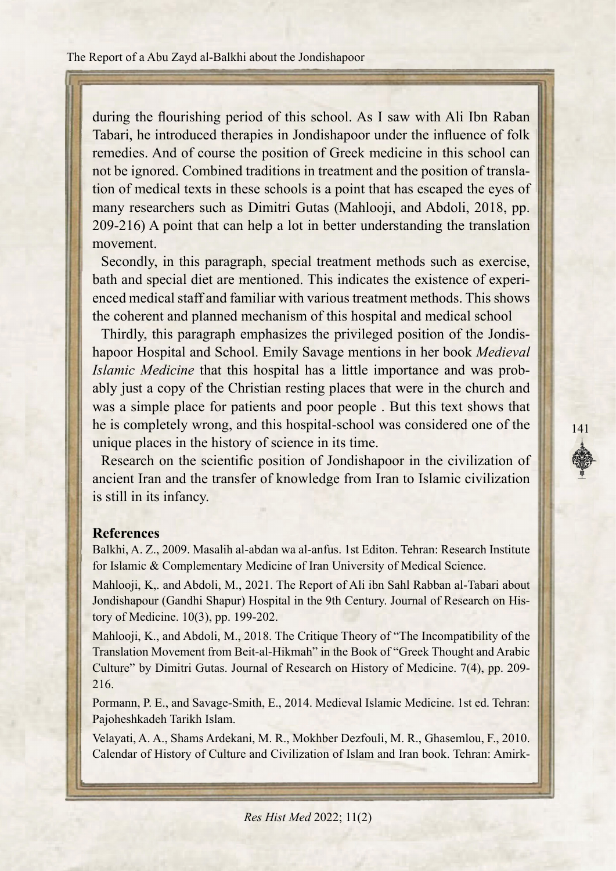during the flourishing period of this school. As I saw with Ali Ibn Raban Tabari, he introduced therapies in Jondishapoor under the influence of folk remedies. And of course the position of Greek medicine in this school can tion of medical texts in these schools is a point that has escaped the eyes of not be ignored. Combined traditions in treatment and the position of translamany researchers such as Dimitri Gutas (Mahlooji, and Abdoli, 2018, pp.  $209-216$ ) A point that can help a lot in better understanding the translation .movement

Secondly, in this paragraph, special treatment methods such as exercise, enced medical staff and familiar with various treatment methods. This shows bath and special diet are mentioned. This indicates the existence of experithe coherent and planned mechanism of this hospital and medical school

hapoor Hospital and School. Emily Savage mentions in her book *Medieval* Thirdly, this paragraph emphasizes the privileged position of the Jondisably just a copy of the Christian resting places that were in the church and *Islamic Medicine* that this hospital has a little importance and was probwas a simple place for patients and poor people . But this text shows that the is completely wrong, and this hospital-school was considered one of the unique places in the history of science in its time.

Research on the scientific position of Jondishapoor in the civilization of ancient Iran and the transfer of knowledge from Iran to Islamic civilization is still in its infancy.

#### **References**

Balkhi, A. Z., 2009. Masalih al-abdan wa al-anfus. 1st Editon. Tehran: Research Institute for Islamic & Complementary Medicine of Iran University of Medical Science.

Mahlooji, K., and Abdoli, M., 2021. The Report of Ali ibn Sahl Rabban al-Tabari about Jondishapour (Gandhi Shapur) Hospital in the 9th Century. Journal of Research on History of Medicine. 10(3), pp. 199-202.

Mahlooji, K., and Abdoli, M., 2018. The Critique Theory of "The Incompatibility of the Translation Movement from Beit-al-Hikmah" in the Book of "Greek Thought and Arabic Culture" by Dimitri Gutas. Journal of Research on History of Medicine. 7(4), pp. 209-216. ne is completely wrong, and ints nospital-scriboti was considered one of the<br>
unique places in the history of science in its time.<br>
Research on the scientific position of Jondishapoor in the civilization of<br>
ancient Iran a

Pormann, P. E., and Savage-Smith, E., 2014. Medieval Islamic Medicine. 1st ed. Tehran: Pajoheshkadeh Tarikh Islam.

Velayati, A. A., Shams Ardekani, M. R., Mokhber Dezfouli, M. R., Ghasemlou, F., 2010. Calendar of History of Culture and Civilization of Islam and Iran book. Tehran: Amirk